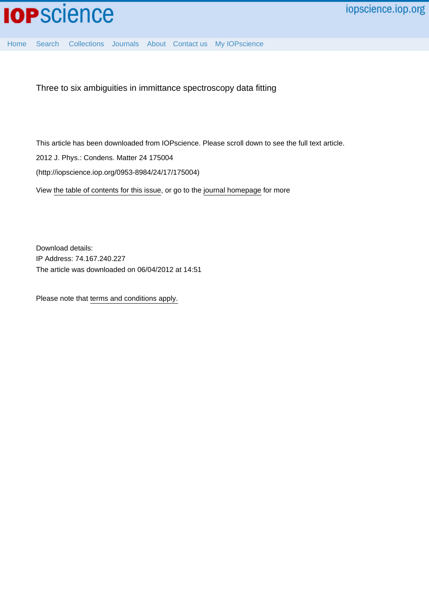

[Home](http://iopscience.iop.org/) [Search](http://iopscience.iop.org/search) [Collections](http://iopscience.iop.org/collections) [Journals](http://iopscience.iop.org/journals) [About](http://iopscience.iop.org/page/aboutioppublishing) [Contact us](http://iopscience.iop.org/contact) [My IOPscience](http://iopscience.iop.org/myiopscience)

Three to six ambiguities in immittance spectroscopy data fitting

This article has been downloaded from IOPscience. Please scroll down to see the full text article.

2012 J. Phys.: Condens. Matter 24 175004

(http://iopscience.iop.org/0953-8984/24/17/175004)

View [the table of contents for this issue](http://iopscience.iop.org/0953-8984/24/17), or go to the [journal homepage](http://iopscience.iop.org/0953-8984) for more

Download details: IP Address: 74.167.240.227 The article was downloaded on 06/04/2012 at 14:51

Please note that [terms and conditions apply.](http://iopscience.iop.org/page/terms)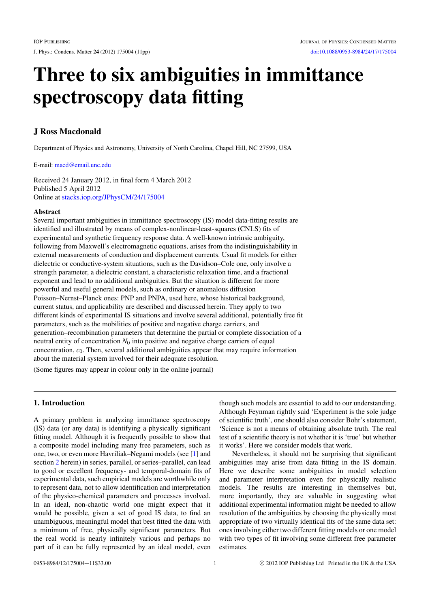J. Phys.: Condens. Matter 24 (2012) 175004 (11pp) [doi:10.1088/0953-8984/24/17/175004](http://dx.doi.org/10.1088/0953-8984/24/17/175004)

# Three to six ambiguities in immittance spectroscopy data fitting

# J Ross Macdonald

Department of Physics and Astronomy, University of North Carolina, Chapel Hill, NC 27599, USA

E-mail: [macd@email.unc.edu](mailto:macd@email.unc.edu)

Received 24 January 2012, in final form 4 March 2012 Published 5 April 2012 Online at [stacks.iop.org/JPhysCM/24/175004](http://stacks.iop.org/JPhysCM/24/175004)

#### Abstract

Several important ambiguities in immittance spectroscopy (IS) model data-fitting results are identified and illustrated by means of complex-nonlinear-least-squares (CNLS) fits of experimental and synthetic frequency response data. A well-known intrinsic ambiguity, following from Maxwell's electromagnetic equations, arises from the indistinguishability in external measurements of conduction and displacement currents. Usual fit models for either dielectric or conductive-system situations, such as the Davidson–Cole one, only involve a strength parameter, a dielectric constant, a characteristic relaxation time, and a fractional exponent and lead to no additional ambiguities. But the situation is different for more powerful and useful general models, such as ordinary or anomalous diffusion Poisson–Nernst–Planck ones: PNP and PNPA, used here, whose historical background, current status, and applicability are described and discussed herein. They apply to two different kinds of experimental IS situations and involve several additional, potentially free fit parameters, such as the mobilities of positive and negative charge carriers, and generation–recombination parameters that determine the partial or complete dissociation of a neutral entity of concentration  $N_0$  into positive and negative charge carriers of equal concentration, *c*0. Then, several additional ambiguities appear that may require information about the material system involved for their adequate resolution.

(Some figures may appear in colour only in the online journal)

# 1. Introduction

A primary problem in analyzing immittance spectroscopy (IS) data (or any data) is identifying a physically significant fitting model. Although it is frequently possible to show that a composite model including many free parameters, such as one, two, or even more Havriliak–Negami models (see [\[1\]](#page-11-0) and section [2](#page-2-0) herein) in series, parallel, or series–parallel, can lead to good or excellent frequency- and temporal-domain fits of experimental data, such empirical models are worthwhile only to represent data, not to allow identification and interpretation of the physico-chemical parameters and processes involved. In an ideal, non-chaotic world one might expect that it would be possible, given a set of good IS data, to find an unambiguous, meaningful model that best fitted the data with a minimum of free, physically significant parameters. But the real world is nearly infinitely various and perhaps no part of it can be fully represented by an ideal model, even

though such models are essential to add to our understanding. Although Feynman rightly said 'Experiment is the sole judge of scientific truth', one should also consider Bohr's statement, 'Science is not a means of obtaining absolute truth. The real test of a scientific theory is not whether it is 'true' but whether it works'. Here we consider models that work.

Nevertheless, it should not be surprising that significant ambiguities may arise from data fitting in the IS domain. Here we describe some ambiguities in model selection and parameter interpretation even for physically realistic models. The results are interesting in themselves but, more importantly, they are valuable in suggesting what additional experimental information might be needed to allow resolution of the ambiguities by choosing the physically most appropriate of two virtually identical fits of the same data set: ones involving either two different fitting models or one model with two types of fit involving some different free parameter estimates.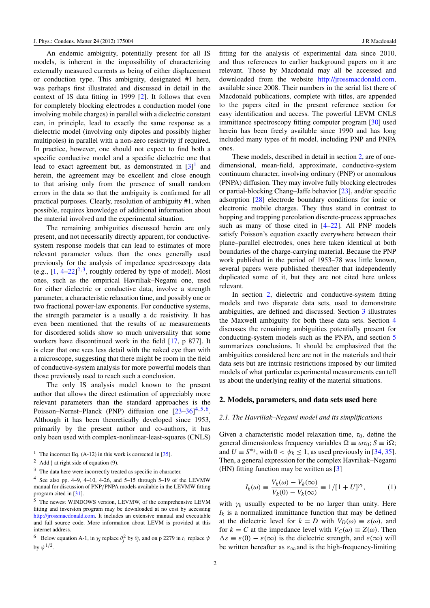An endemic ambiguity, potentially present for all IS models, is inherent in the impossibility of characterizing externally measured currents as being of either displacement or conduction type. This ambiguity, designated #1 here, was perhaps first illustrated and discussed in detail in the context of IS data fitting in 1999 [\[2\]](#page-11-1). It follows that even for completely blocking electrodes a conduction model (one involving mobile charges) in parallel with a dielectric constant can, in principle, lead to exactly the same response as a dielectric model (involving only dipoles and possibly higher multipoles) in parallel with a non-zero resistivity if required. In practice, however, one should not expect to find both a specific conductive model and a specific dielectric one that lead to exact agreement but, as demonstrated in  $[3]$ <sup>[1](#page-2-1)</sup> and herein, the agreement may be excellent and close enough to that arising only from the presence of small random errors in the data so that the ambiguity is confirmed for all practical purposes. Clearly, resolution of ambiguity #1, when possible, requires knowledge of additional information about the material involved and the experimental situation.

The remaining ambiguities discussed herein are only present, and not necessarily directly apparent, for conductivesystem response models that can lead to estimates of more relevant parameter values than the ones generally used previously for the analysis of impedance spectroscopy data (e.g.,  $[1, 4-22]^2$  $[1, 4-22]^2$  $[1, 4-22]^2$  $[1, 4-22]^2$  $[1, 4-22]^2$ <sup>[3](#page-2-3)</sup>, roughly ordered by type of model). Most ones, such as the empirical Havriliak–Negami one, used for either dielectric or conductive data, involve a strength parameter, a characteristic relaxation time, and possibly one or two fractional power-law exponents. For conductive systems, the strength parameter is a usually a dc resistivity. It has even been mentioned that the results of ac measurements for disordered solids show so much universality that some workers have discontinued work in the field [\[17,](#page-11-5) p 877]. It is clear that one sees less detail with the naked eye than with a microscope, suggesting that there might be room in the field of conductive-system analysis for more powerful models than those previously used to reach such a conclusion.

The only IS analysis model known to the present author that allows the direct estimation of appreciably more relevant parameters than the standard approaches is the Poisson–Nernst–Planck (PNP) diffusion one  $[23-36]^{4,5,6}$  $[23-36]^{4,5,6}$  $[23-36]^{4,5,6}$  $[23-36]^{4,5,6}$  $[23-36]^{4,5,6}$  $[23-36]^{4,5,6}$  $[23-36]^{4,5,6}$  $[23-36]^{4,5,6}$ . Although it has been theoretically developed since 1953, primarily by the present author and co-authors, it has only been used with complex-nonlinear-least-squares (CNLS)

<span id="page-2-1"></span><sup>1</sup> The incorrect Eq.  $(A-12)$  in this work is corrected in [\[35\]](#page-11-8).

<span id="page-2-3"></span><sup>3</sup> The data here were incorrectly treated as specific in character.

<span id="page-2-4"></span><sup>4</sup> See also pp.  $4-9$ ,  $4-10$ ,  $4-26$ , and  $5-15$  through  $5-19$  of the LEVMW manual for discussion of PNP/PNPA models available in the LEVMW fitting program cited in [\[31\]](#page-11-9).

fitting for the analysis of experimental data since 2010, and thus references to earlier background papers on it are relevant. Those by Macdonald may all be accessed and downloaded from the website [http://jrossmacdonald.com,](http://jrossmacdonald.com) available since 2008. Their numbers in the serial list there of Macdonald publications, complete with titles, are appended to the papers cited in the present reference section for easy identification and access. The powerful LEVM CNLS immittance spectroscopy fitting computer program [\[30\]](#page-11-10) used herein has been freely available since 1990 and has long included many types of fit model, including PNP and PNPA ones.

These models, described in detail in section [2,](#page-2-0) are of onedimensional, mean-field, approximate, conductive-system continuum character, involving ordinary (PNP) or anomalous (PNPA) diffusion. They may involve fully blocking electrodes or partial-blocking Chang–Jaffe behavior [\[23\]](#page-11-6), and/or specific adsorption [\[28\]](#page-11-11) electrode boundary conditions for ionic or electronic mobile charges. They thus stand in contrast to hopping and trapping percolation discrete-process approaches such as many of those cited in  $[4–22]$  $[4–22]$ . All PNP models satisfy Poisson's equation exactly everywhere between their plane–parallel electrodes, ones here taken identical at both boundaries of the charge-carrying material. Because the PNP work published in the period of 1953–78 was little known, several papers were published thereafter that independently duplicated some of it, but they are not cited here unless relevant.

In section [2,](#page-2-0) dielectric and conductive-system fitting models and two disparate data sets, used to demonstrate ambiguities, are defined and discussed. Section [3](#page-5-0) illustrates the Maxwell ambiguity for both these data sets. Section [4](#page-7-0) discusses the remaining ambiguities potentially present for conducting-system models such as the PNPA, and section [5](#page-8-0) summarizes conclusions. It should be emphasized that the ambiguities considered here are not in the materials and their data sets but are intrinsic restrictions imposed by our limited models of what particular experimental measurements can tell us about the underlying reality of the material situations.

#### <span id="page-2-0"></span>2. Models, parameters, and data sets used here

#### <span id="page-2-8"></span>*2.1. The Havriliak–Negami model and its simplifications*

Given a characteristic model relaxation time,  $\tau_0$ , define the general dimensionless frequency variables  $\Omega \equiv \omega \tau_0$ ;  $S \equiv i\Omega$ ; and  $U \equiv S^{\psi_k}$ , with  $0 < \psi_k \le 1$ , as used previously in [\[34,](#page-11-12) [35\]](#page-11-8). Then, a general expression for the complex Havriliak–Negami (HN) fitting function may be written as [\[3\]](#page-11-2)

<span id="page-2-7"></span>
$$
I_k(\omega) \equiv \frac{V_k(\omega) - V_k(\infty)}{V_k(0) - V_k(\infty)} \equiv 1/[1 + U]^{\gamma_k},
$$
 (1)

with  $\gamma_k$  usually expected to be no larger than unity. Here  $I_k$  is a normalized immittance function that may be defined at the dielectric level for  $k = D$  with  $V_D(\omega) \equiv \varepsilon(\omega)$ , and for  $k = C$  at the impedance level with  $V_C(\omega) \equiv Z(\omega)$ . Then  $\Delta \varepsilon \equiv \varepsilon(0) - \varepsilon(\infty)$  is the dielectric strength, and  $\varepsilon(\infty)$  will be written hereafter as  $\varepsilon_{\infty}$  and is the high-frequency-limiting

<span id="page-2-2"></span> $2$  Add } at right side of equation (9).

<span id="page-2-5"></span><sup>5</sup> The newest WINDOWS version, LEVMW, of the comprehensive LEVM fitting and inversion program may be downloaded at no cost by accessing [http://jrossmacdonald.com.](http://jrossmacdonald.com) It includes an extensive manual and executable and full source code. More information about LEVM is provided at this internet address.

<span id="page-2-6"></span><sup>&</sup>lt;sup>6</sup> Below equation A-1, in  $\gamma_j$  replace  $\theta_j^2$  by  $\theta_j$ , and on p 2279 in  $t_1$  replace  $\psi$ by  $\psi^{1/2}$ .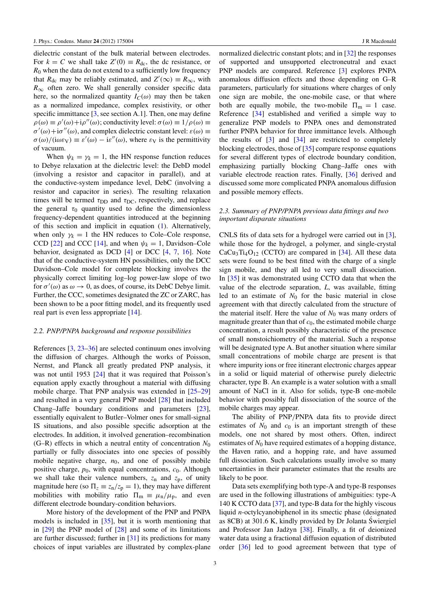dielectric constant of the bulk material between electrodes. For  $k = C$  we shall take  $Z'(0) \equiv R_{\text{dc}}$ , the dc resistance, or  $R_0$  when the data do not extend to a sufficiently low frequency that  $R_{\text{dc}}$  may be reliably estimated, and  $Z'(\infty) \equiv R_{\infty}$ , with  $R_{\infty}$  often zero. We shall generally consider specific data here, so the normalized quantity  $I_C(\omega)$  may then be taken as a normalized impedance, complex resistivity, or other specific immittance [\[3,](#page-11-2) see section A.1]. Then, one may define  $\rho(\omega) \equiv \rho'(\omega) + i \rho''(\omega)$ ; conductivity level:  $\sigma(\omega) \equiv 1/\rho(\omega) \equiv$  $\sigma'(\omega) + i\sigma''(\omega)$ , and complex dielectric constant level:  $\varepsilon(\omega) \equiv$  $\sigma(\omega)/(\mathrm{i}\omega \varepsilon \mathrm{v}) = \varepsilon'(\omega) - \mathrm{i}\varepsilon''(\omega)$ , where  $\varepsilon \mathrm{v}$  is the permittivity of vacuum.

When  $\psi_k = \gamma_k = 1$ , the HN response function reduces to Debye relaxation at the dielectric level: the DebD model (involving a resistor and capacitor in parallel), and at the conductive-system impedance level, DebC (involving a resistor and capacitor in series). The resulting relaxation times will be termed  $\tau_{\text{DD}}$  and  $\tau_{\text{DC}}$ , respectively, and replace the general  $\tau_0$  quantity used to define the dimensionless frequency-dependent quantities introduced at the beginning of this section and implicit in equation [\(1\)](#page-2-7). Alternatively, when only  $\gamma_k = 1$  the HN reduces to Cole–Cole response, CCD [\[22\]](#page-11-4) and CCC [\[14\]](#page-11-13), and when  $\psi_k = 1$ , Davidson–Cole behavior, designated as DCD [\[4\]](#page-11-3) or DCC [\[4,](#page-11-3) [7,](#page-11-14) [16\]](#page-11-15). Note that of the conductive-system HN possibilities, only the DCC Davidson–Cole model for complete blocking involves the physically correct limiting log–log power-law slope of two for  $\sigma'(\omega)$  as  $\omega \to 0$ , as does, of course, its DebC Debye limit. Further, the CCC, sometimes designated the ZC or ZARC, has been shown to be a poor fitting model, and its frequently used real part is even less appropriate [\[14\]](#page-11-13).

#### *2.2. PNP/PNPA background and response possibilities*

References [\[3,](#page-11-2) [23](#page-11-6)[–36\]](#page-11-7) are selected continuum ones involving the diffusion of charges. Although the works of Poisson, Nernst, and Planck all greatly predated PNP analysis, it was not until 1953 [\[24\]](#page-11-16) that it was required that Poisson's equation apply exactly throughout a material with diffusing mobile charge. That PNP analysis was extended in [\[25](#page-11-17)[–29\]](#page-11-18) and resulted in a very general PNP model [\[28\]](#page-11-11) that included Chang–Jaffe boundary conditions and parameters [\[23\]](#page-11-6), essentially equivalent to Butler–Volmer ones for small-signal IS situations, and also possible specific adsorption at the electrodes. In addition, it involved generation–recombination (G–R) effects in which a neutral entity of concentration  $N_0$ partially or fully dissociates into one species of possibly mobile negative charge,  $n_0$ , and one of possibly mobile positive charge,  $p_0$ , with equal concentrations,  $c_0$ . Although we shall take their valence numbers,  $z_n$  and  $z_p$ , of unity magnitude here (so  $\Pi_z \equiv z_n/z_p = 1$ ), they may have different mobilities with mobility ratio  $\Pi_m \equiv \mu_n/\mu_p$ , and even different electrode boundary-condition behaviors.

More history of the development of the PNP and PNPA models is included in [\[35\]](#page-11-8), but it is worth mentioning that in [\[29\]](#page-11-18) the PNP model of [\[28\]](#page-11-11) and some of its limitations are further discussed; further in [\[31\]](#page-11-9) its predictions for many choices of input variables are illustrated by complex-plane normalized dielectric constant plots; and in [\[32\]](#page-11-19) the responses of supported and unsupported electroneutral and exact PNP models are compared. Reference [\[3\]](#page-11-2) explores PNPA anomalous diffusion effects and those depending on G–R parameters, particularly for situations where charges of only one sign are mobile, the one-mobile case, or that where both are equally mobile, the two-mobile  $\Pi_m = 1$  case. Reference [\[34\]](#page-11-12) established and verified a simple way to generalize PNP models to PNPA ones and demonstrated further PNPA behavior for three immittance levels. Although the results of [\[3\]](#page-11-2) and [\[34\]](#page-11-12) are restricted to completely blocking electrodes, those of [\[35\]](#page-11-8) compare response equations for several different types of electrode boundary condition, emphasizing partially blocking Chang–Jaffe ones with variable electrode reaction rates. Finally, [\[36\]](#page-11-7) derived and discussed some more complicated PNPA anomalous diffusion and possible memory effects.

# *2.3. Summary of PNP/PNPA previous data fittings and two important disparate situations*

CNLS fits of data sets for a hydrogel were carried out in [\[3\]](#page-11-2), while those for the hydrogel, a polymer, and single-crystal  $CaCu<sub>3</sub>Ti<sub>4</sub>O<sub>12</sub>$  (CCTO) are compared in [\[34\]](#page-11-12). All these data sets were found to be best fitted with the charge of a single sign mobile, and they all led to very small dissociation. In [\[35\]](#page-11-8) it was demonstrated using CCTO data that when the value of the electrode separation, *L*, was available, fitting led to an estimate of  $N_0$  for the basic material in close agreement with that directly calculated from the structure of the material itself. Here the value of  $N_0$  was many orders of magnitude greater than that of  $c_0$ , the estimated mobile charge concentration, a result possibly characteristic of the presence of small nonstoichiometry of the material. Such a response will be designated type A. But another situation where similar small concentrations of mobile charge are present is that where impurity ions or free itinerant electronic charges appear in a solid or liquid material of otherwise purely dielectric character, type B. An example is a water solution with a small amount of NaCl in it. Also for solids, type-B one-mobile behavior with possibly full dissociation of the source of the mobile charges may appear.

The ability of PNP/PNPA data fits to provide direct estimates of  $N_0$  and  $c_0$  is an important strength of these models, one not shared by most others. Often, indirect estimates of  $N_0$  have required estimates of a hopping distance, the Haven ratio, and a hopping rate, and have assumed full dissociation. Such calculations usually involve so many uncertainties in their parameter estimates that the results are likely to be poor.

Data sets exemplifying both type-A and type-B responses are used in the following illustrations of ambiguities: type-A 140 K CCTO data [\[37\]](#page-11-20), and type-B data for the highly viscous liquid *n*-octylcyanobiphenol in its smectic phase (designated as 8CB) at 301.6 K, kindly provided by Dr Jolanta Swiergiel ´ and Professor Jan Jadżyn [[38\]](#page-11-21). Finally, a fit of deionized water data using a fractional diffusion equation of distributed order [\[36\]](#page-11-7) led to good agreement between that type of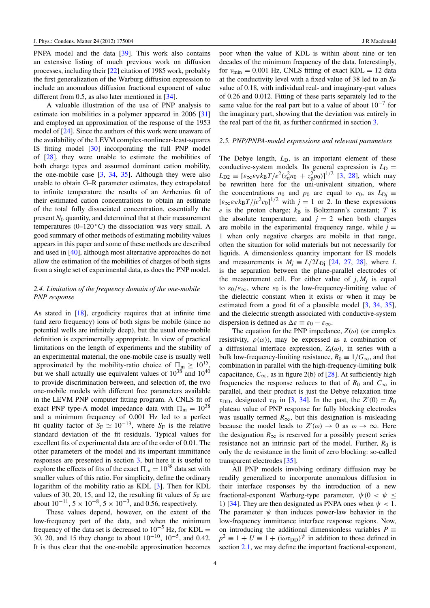PNPA model and the data [\[39\]](#page-11-22). This work also contains an extensive listing of much previous work on diffusion processes, including their [\[22\]](#page-11-4) citation of 1985 work, probably the first generalization of the Warburg diffusion expression to include an anomalous diffusion fractional exponent of value different from 0.5, as also later mentioned in [\[34\]](#page-11-12).

A valuable illustration of the use of PNP analysis to estimate ion mobilities in a polymer appeared in 2006 [\[31\]](#page-11-9) and employed an approximation of the response of the 1953 model of [\[24\]](#page-11-16). Since the authors of this work were unaware of the availability of the LEVM complex-nonlinear-least-squares IS fitting model [\[30\]](#page-11-10) incorporating the full PNP model of [\[28\]](#page-11-11), they were unable to estimate the mobilities of both charge types and assumed dominant cation mobility, the one-mobile case  $[3, 34, 35]$  $[3, 34, 35]$  $[3, 34, 35]$  $[3, 34, 35]$  $[3, 34, 35]$ . Although they were also unable to obtain G–R parameter estimates, they extrapolated to infinite temperature the results of an Arrhenius fit of their estimated cation concentrations to obtain an estimate of the total fully dissociated concentration, essentially the present *N*<sup>0</sup> quantity, and determined that at their measurement temperatures (0–120 $\degree$ C) the dissociation was very small. A good summary of other methods of estimating mobility values appears in this paper and some of these methods are described and used in [\[40\]](#page-11-23), although most alternative approaches do not allow the estimation of the mobilities of charges of both signs from a single set of experimental data, as does the PNP model.

#### *2.4. Limitation of the frequency domain of the one-mobile PNP response*

As stated in [\[18\]](#page-11-24), ergodicity requires that at infinite time (and zero frequency) ions of both signs be mobile (since no potential wells are infinitely deep), but the usual one-mobile definition is experimentally appropriate. In view of practical limitations on the length of experiments and the stability of an experimental material, the one-mobile case is usually well approximated by the mobility-ratio choice of  $\Pi_{\rm m} \geq 10^{15}$ , but we shall actually use equivalent values of  $10^{38}$  and  $10^{40}$ to provide discrimination between, and selection of, the two one-mobile models with different free parameters available in the LEVM PNP computer fitting program. A CNLS fit of exact PNP type-A model impedance data with  $\Pi_m = 10^{38}$ and a minimum frequency of 0.001 Hz led to a perfect fit quality factor of  $S_F \simeq 10^{-13}$ , where  $S_F$  is the relative standard deviation of the fit residuals. Typical values for excellent fits of experimental data are of the order of 0.01. The other parameters of the model and its important immittance responses are presented in section [3,](#page-5-0) but here it is useful to explore the effects of fits of the exact  $\Pi_m = 10^{38}$  data set with smaller values of this ratio. For simplicity, define the ordinary logarithm of the mobility ratio as KDL [\[3\]](#page-11-2). Then for KDL values of 30, 20, 15, and 12, the resulting fit values of  $S_F$  are about  $10^{-11}$ ,  $5 \times 10^{-8}$ ,  $5 \times 10^{-3}$ , and 0.56, respectively.

These values depend, however, on the extent of the low-frequency part of the data, and when the minimum frequency of the data set is decreased to  $10^{-5}$  Hz, for KDL = 30, 20, and 15 they change to about  $10^{-10}$ ,  $10^{-5}$ , and 0.42. It is thus clear that the one-mobile approximation becomes

poor when the value of KDL is within about nine or ten decades of the minimum frequency of the data. Interestingly, for  $v_{\text{min}} = 0.001$  Hz, CNLS fitting of exact KDL = 12 data at the conductivity level with a fixed value of 38 led to an  $S_F$ value of 0.18, with individual real- and imaginary-part values of 0.26 and 0.012. Fitting of these parts separately led to the same value for the real part but to a value of about  $10^{-7}$  for the imaginary part, showing that the deviation was entirely in the real part of the fit, as further confirmed in section [3.](#page-5-0)

#### *2.5. PNP/PNPA-model expressions and relevant parameters*

The Debye length,  $L<sub>D</sub>$ , is an important element of these conductive-system models. Its general expression is  $L_D$  =  $L_{D2} \equiv [\varepsilon_{\infty} \varepsilon_{\rm V} k_{\rm B} T/e^2 (z_{\rm n}^2 n_0 + z_{\rm p}^2 p_0)]^{1/2}$  [\[3,](#page-11-2) [28\]](#page-11-11), which may be rewritten here for the uni-univalent situation, where the concentrations  $n_0$  and  $p_0$  are equal to  $c_0$ , as  $L_{\text{D}j}$  $[\varepsilon_{\infty} \varepsilon_{\rm V} k_{\rm B}T / j e^2 c_0]^{1/2}$  with  $j = 1$  or 2. In these expressions  $e$  is the proton charge;  $k_B$  is Boltzmann's constant;  $T$  is the absolute temperature; and  $j = 2$  when both charges are mobile in the experimental frequency range, while  $j =$ 1 when only negative charges are mobile in that range, often the situation for solid materials but not necessarily for liquids. A dimensionless quantity important for IS models and measurements is  $M_i \equiv L/2L_{\text{Di}}$  [\[24,](#page-11-16) [27,](#page-11-25) [28\]](#page-11-11), where *L* is the separation between the plane-parallel electrodes of the measurement cell. For either value of  $j$ ,  $M_j$  is equal to  $\varepsilon_0/\varepsilon_\infty$ , where  $\varepsilon_0$  is the low-frequency-limiting value of the dielectric constant when it exists or when it may be estimated from a good fit of a plausible model [\[3,](#page-11-2) [34,](#page-11-12) [35\]](#page-11-8), and the dielectric strength associated with conductive-system dispersion is defined as  $\Delta \varepsilon \equiv \varepsilon_0 - \varepsilon_{\infty}$ .

The equation for the PNP impedance,  $Z(\omega)$  (or complex resistivity,  $\rho(\omega)$ , may be expressed as a combination of a diffusional interface expression,  $Z_i(\omega)$ , in series with a bulk low-frequency-limiting resistance,  $R_0 \equiv 1/G_{\infty}$ , and that combination in parallel with the high-frequency-limiting bulk capacitance,  $C_{\infty}$ , as in figure 2(b) of [\[28\]](#page-11-11). At sufficiently high frequencies the response reduces to that of  $R_0$  and  $C_\infty$  in parallel, and their product is just the Debye relaxation time  $\tau_{\text{DD}}$ , designated  $\tau_{\text{D}}$  in [\[3,](#page-11-2) [34\]](#page-11-12). In the past, the *Z'*(0) = *R*<sub>0</sub> plateau value of PNP response for fully blocking electrodes was usually termed  $R_{\infty}$ , but this designation is misleading because the model leads to  $Z'(\omega) \to 0$  as  $\omega \to \infty$ . Here the designation  $R_{\infty}$  is reserved for a possibly present series resistance not an intrinsic part of the model. Further,  $R_0$  is only the dc resistance in the limit of zero blocking: so-called transparent electrodes [\[35\]](#page-11-8).

All PNP models involving ordinary diffusion may be readily generalized to incorporate anomalous diffusion in their interface responses by the introduction of a new fractional-exponent Warburg-type parameter,  $\psi(0 < \psi \leq$ 1) [\[34\]](#page-11-12). They are then designated as PNPA ones when  $\psi$  < 1. The parameter  $\psi$  then induces power-law behavior in the low-frequency immittance interface response regions. Now, on introducing the additional dimensionless variables  $P \equiv$  $p^2 \equiv 1 + U \equiv 1 + (i\omega \tau_{DD})^{\psi}$  in addition to those defined in section [2.1,](#page-2-8) we may define the important fractional-exponent,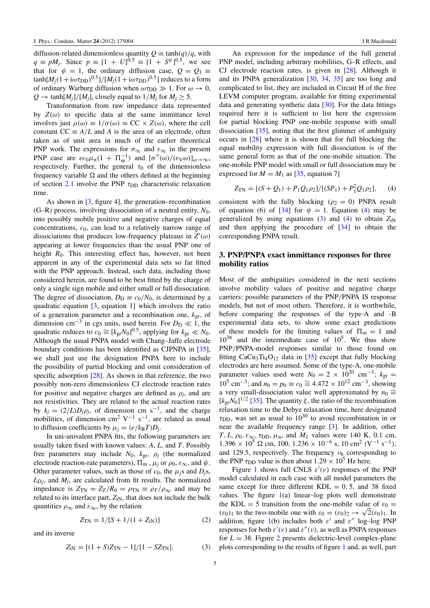diffusion-related dimensionless quantity  $Q \equiv \tanh(q)/q$ , with  $q \equiv pM_j$ . Since  $p \equiv [1 + U]^{0.5} \equiv [1 + S^{\psi}]^{0.5}$ , we see that for  $\psi = 1$ , the ordinary diffusion case,  $Q = Q_1$  $\tanh[M_j(1+\mathrm{i}\omega\tau_\mathrm{DD})^{0.5}]/[M_j(1+\mathrm{i}\omega\tau_\mathrm{DD})^{0.5}]$  reduces to a form of ordinary Warburg diffusion when  $\omega\tau_{\text{DD}} \gg 1$ . For  $\omega \to 0$ ,  $Q \rightarrow \tanh[M_i]/[M_i]$ , closely equal to  $1/M_i$  for  $M_i \geq 5$ .

Transformation from raw impedance data represented by  $Z(\omega)$  to specific data at the same immittance level involves just  $\rho(\omega) \equiv 1/\sigma(\omega) \equiv CC \times Z(\omega)$ , where the cell constant  $CC \equiv A/L$  and *A* is the area of an electrode, often taken as of unit area in much of the earlier theoretical PNP work. The expressions for  $\sigma_{\infty}$  and  $\varepsilon_{\infty}$  in the present PNP case are  $ec_0\mu_n(1 + \Pi_m^{-1})$  and  $[\sigma''(\omega)/(\varepsilon_V\omega)]_{\omega\to\infty}$ , respectively. Further, the general  $\tau_0$  of the dimensionless frequency variable  $\Omega$  and the others defined at the beginning of section [2.1](#page-2-8) involve the PNP  $\tau_{DD}$  characteristic relaxation time.

As shown in [\[3,](#page-11-2) figure 4], the generation–recombination (G–R) process, involving dissociation of a neutral entity,  $N_0$ , into possibly mobile positive and negative charges of equal concentrations, *c*0, can lead to a relatively narrow range of dissociations that produces low-frequency plateaus in  $Z'(\omega)$ appearing at lower frequencies than the usual PNP one of height  $R_0$ . This interesting effect has, however, not been apparent in any of the experimental data sets so far fitted with the PNP approach. Instead, such data, including those considered herein, are found to be best fitted by the charge of only a single sign mobile and either small or full dissociation. The degree of dissociation,  $D_D \equiv c_0/N_0$ , is determined by a quadratic equation [\[3,](#page-11-2) equation 1] which involves the ratio of a generation parameter and a recombination one,  $k_{\text{gr}}$ , of dimension cm<sup>-3</sup> in cgs units, used herein. For  $D_D \ll 1$ , the quadratic reduces to  $c_0 \cong [k_{\text{gr}}N_0]^{0.5}$ , applying for  $k_{\text{gr}} \ll N_0$ . Although the usual PNPA model with Chang–Jaffe electrode boundary conditions has been identified as CJPNPA in [\[35\]](#page-11-8), we shall just use the designation PNPA here to include the possibility of partial blocking and omit consideration of specific adsorption [\[28\]](#page-11-11). As shown in that reference, the two possibly non-zero dimensionless CJ electrode reaction rates for positive and negative charges are defined as  $\rho_j$ , and are not resistivities. They are related to the actual reaction rates by  $k_j = (2/L)D_j \rho_j$ , of dimension cm s<sup>-1</sup>, and the charge mobilities, of dimension cm<sup>2</sup> V<sup>-1</sup> s<sup>-1</sup>, are related as usual to diffusion coefficients by  $\mu_j = (e/k_B T)D_j$ .

In uni-univalent PNPA fits, the following parameters are usually taken fixed with known values: *A*, *L*, and *T*. Possibly free parameters may include  $N_0$ ,  $k_{\text{gr}}$ ,  $\rho_j$  (the normalized electrode reaction-rate parameters),  $\Pi_{m}$ ,  $\mu_{i}$  or  $\rho_{0}$ ,  $\varepsilon_{\infty}$ , and  $\psi$ . Other parameter values, such as those of  $c_0$ , the  $\mu_i$ s and  $D_i$ s,  $L_{\text{D}j}$ , and  $M_j$ , are calculated from fit results. The normalized impedance is  $Z_{TN} = Z_T/R_0 = \rho_{TN} \equiv \rho_T/\rho_{\infty}$  and may be related to its interface part,  $Z_{iN}$ , that does not include the bulk quantities  $\rho_{\infty}$  and  $\varepsilon_{\infty}$ , by the relation

$$
Z_{\rm TN} = 1/[S + 1/(1 + Z_{\rm IN})]
$$
 (2)

and its inverse

$$
Z_{\rm iN} = [(1 + S)Z_{\rm TN} - 1]/[1 - SZ_{\rm TN}]. \tag{3}
$$

An expression for the impedance of the full general PNP model, including arbitrary mobilities, G–R effects, and CJ electrode reaction rates, is given in [\[28\]](#page-11-11). Although it and its PNPA generalization [\[30,](#page-11-10) [34,](#page-11-12) [35\]](#page-11-8) are too long and complicated to list, they are included in Circuit H of the free LEVM computer program, available for fitting experimental data and generating synthetic data  $[30]$ . For the data fittings required here it is sufficient to list here the expression for partial blocking PNP one-mobile response with small dissociation [\[35\]](#page-11-8), noting that the first glimmer of ambiguity occurs in [\[28\]](#page-11-11) where it is shown that for full blocking the equal mobility expression with full dissociation is of the same general form as that of the one-mobile situation. The one-mobile PNP model with small or full dissociation may be expressed for  $M = M_1$  as [\[35,](#page-11-8) equation 7]

<span id="page-5-1"></span>
$$
Z_{\rm TN} = [(S + Q_1) + P_1 Q_1 \rho_2]/[(SP_1) + P_1^2 Q_1 \rho_2], \quad (4)
$$

consistent with the fully blocking ( $\rho_2 = 0$ ) PNPA result of equation (6) of [\[34\]](#page-11-12) for  $\psi = 1$ . Equation [\(4\)](#page-5-1) may be generalized by using equations  $(3)$  and  $(4)$  to obtain  $Z_{iN}$ and then applying the procedure of [\[34\]](#page-11-12) to obtain the corresponding PNPA result.

# <span id="page-5-0"></span>3. PNP/PNPA exact immittance responses for three mobility ratios

Most of the ambiguities considered in the next sections involve mobility values of positive and negative charge carriers: possible parameters of the PNP/PNPA IS response models, but not of most others. Therefore, it is worthwhile, before comparing the responses of the type-A and -B experimental data sets, to show some exact predictions of these models for the limiting values of  $\Pi_m = 1$  and  $10^{38}$  and the intermediate case of  $10^{5}$ . We thus show PNP/PNPA-model responses similar to those found on fitting CaCu<sub>3</sub>Ti<sub>4</sub>O<sub>12</sub> data in [\[35\]](#page-11-8) except that fully blocking electrodes are here assumed. Some of the type-A, one-mobile parameter values used were  $N_0 = 2 \times 10^{20}$  cm<sup>-3</sup>;  $k_{\text{gr}} =$  $10^5$  cm<sup>-3</sup>; and  $n_0 = p_0 \equiv c_0 \approx 4.472 \times 10^{12}$  cm<sup>-3</sup>, showing a very small-dissociation value well approximated by  $n_0 \cong$  $[k_{\text{gr}}N_0]^{1/2}$  [\[35\]](#page-11-8). The quantity  $\xi$ , the ratio of the recombination relaxation time to the Debye relaxation time, here designated  $\tau_{\text{DD}}$ , was set as usual to  $10^{30}$  to avoid recombination in or near the available frequency range [\[3\]](#page-11-2). In addition, other  $T, L, \rho_0, \varepsilon_\infty, \tau_{\text{DD}}, \mu_{\text{n}}$ , and  $M_1$  values were 140 K, 0.1 cm,  $1.396 \times 10^5$  Ω cm, 100, 1.236 × 10<sup>-6</sup> s, 10 cm<sup>2</sup> (V<sup>-1</sup> s<sup>-1</sup>), and 129.5, respectively. The frequency  $v<sub>h</sub>$  corresponding to the PNP  $\tau_{\text{DD}}$  value is then about 1.29  $\times$  10<sup>5</sup> Hz here.

<span id="page-5-2"></span>Figure [1](#page-6-0) shows full CNLS  $\varepsilon'(v)$  responses of the PNP model calculated in each case with all model parameters the same except for three different  $KDL = 0, 5$ , and 38 fixed values. The figure  $1(a)$  $1(a)$  linear-log plots well demonstrate the KDL = 5 transition from the one-mobile value of  $\varepsilon_0$  =  $(\varepsilon_0)_1$  to the two-mobile one with  $\varepsilon_0 = (\varepsilon_0)_2 \to \sqrt{2}(\varepsilon_0)_1$ . In addition, figure [1\(](#page-6-0)b) includes both  $\varepsilon'$  and  $\varepsilon''$  log-log PNP responses for both  $\varepsilon'(\nu)$  and  $\varepsilon''(\nu)$ , as well as PNPA responses for  $L = 38$ . Figure [2](#page-6-1) presents dielectric-level complex-plane plots corresponding to the results of figure [1](#page-6-0) and, as well, part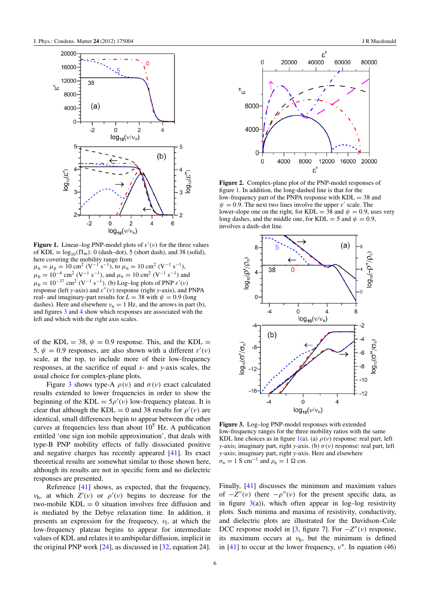<span id="page-6-0"></span>

Figure 1. Linear–log PNP-model plots of  $\varepsilon'(v)$  for the three values of KDL  $\equiv \log_{10}(\Pi_m)$ : 0 (dash–dot), 5 (short dash), and 38 (solid), here covering the mobility range from

 $\mu_{\rm n} = \mu_{\rm p} = 10 \text{ cm}^2 \text{ (V}^{-1} \text{ s}^{-1})$ , to  $\mu_{\rm n} = 10 \text{ cm}^2 \text{ (V}^{-1} \text{ s}^{-1})$ ,  $\mu_{\rm p} = 10^{-4}$  cm<sup>2</sup> (V<sup>-1</sup> s<sup>-1</sup>), and  $\mu_{\rm n} = 10$  cm<sup>2</sup> (V<sup>-1</sup> s<sup>-1</sup>) and  $\mu_{\rm p} = 10^{-37}$  cm<sup>2</sup> (V<sup>-1</sup> s<sup>-1</sup>). (b) Log-log plots of PNP  $\varepsilon'(v)$ response (left *y*-axis) and  $\varepsilon''(v)$  response (right *y*-axis), and PNPA real- and imaginary-part results for  $L = 38$  with  $\psi = 0.9$  (long dashes). Here and elsewhere  $v_n = 1$  Hz, and the arrows in part (b), and figures [3](#page-6-2) and [4](#page-7-1) show which responses are associated with the left and which with the right axis scales.

of the KDL = 38,  $\psi = 0.9$  response. This, and the KDL = 5,  $\psi = 0.9$  responses, are also shown with a different  $\varepsilon'(\nu)$ scale, at the top, to include more of their low-frequency responses, at the sacrifice of equal *x*- and *y*-axis scales, the usual choice for complex-plane plots.

Figure [3](#page-6-2) shows type-A  $\rho(\nu)$  and  $\sigma(\nu)$  exact calculated results extended to lower frequencies in order to show the beginning of the KDL =  $5\rho'(\nu)$  low-frequency plateau. It is clear that although the KDL = 0 and 38 results for  $\rho'(v)$  are identical, small differences begin to appear between the other curves at frequencies less than about  $10<sup>5</sup>$  Hz. A publication entitled 'one sign ion mobile approximation', that deals with type-B PNP mobility effects of fully dissociated positive and negative charges has recently appeared [\[41\]](#page-11-26). Its exact theoretical results are somewhat similar to those shown here, although its results are not in specific form and no dielectric responses are presented.

Reference [\[41\]](#page-11-26) shows, as expected, that the frequency,  $v<sub>h</sub>$ , at which  $Z'(v)$  or  $\rho'(v)$  begins to decrease for the two-mobile  $KDL = 0$  situation involves free diffusion and is mediated by the Debye relaxation time. In addition, it presents an expression for the frequency,  $v_1$ , at which the low-frequency plateau begins to appear for intermediate values of KDL and relates it to ambipolar diffusion, implicit in the original PNP work [\[24\]](#page-11-16), as discussed in [\[32,](#page-11-19) equation 24].

<span id="page-6-1"></span>

Figure 2. Complex-plane plot of the PNP-model responses of figure [1.](#page-6-0) In addition, the long-dashed line is that for the low-frequency part of the PNPA response with  $KDL = 38$  and  $\psi = 0.9$ . The next two lines involve the upper  $\varepsilon'$  scale. The lower-slope one on the right, for KDL = 38 and  $\psi = 0.9$ , uses very long dashes, and the middle one, for KDL = 5 and  $\psi = 0.9$ , involves a dash–dot line.

<span id="page-6-2"></span>

Figure 3. Log–log PNP-model responses with extended low-frequency ranges for the three mobility ratios with the same KDL line choices as in figure [1\(](#page-6-0)a). (a)  $\rho(v)$  response: real part, left *y*-axis; imaginary part, right *y*-axis. (b) σ (ν) response: real part, left *y*-axis; imaginary part, right *y*-axis. Here and elsewhere  $\sigma_{\rm n} = 1$  S cm<sup>-1</sup> and  $\rho_{\rm n} = 1$  Ω cm.

Finally, [\[41\]](#page-11-26) discusses the minimum and maximum values of  $-Z''(v)$  (here  $-\rho''(v)$  for the present specific data, as in figure  $3(a)$  $3(a)$ ), which often appear in log–log resistivity plots. Such minima and maxima of resistivity, conductivity, and dielectric plots are illustrated for the Davidson–Cole DCC response model in [\[3,](#page-11-2) figure 7]. For  $-Z''(v)$  response, its maximum occurs at  $v_h$ , but the minimum is defined in [\[41\]](#page-11-26) to occur at the lower frequency,  $v^*$ . In equation (46)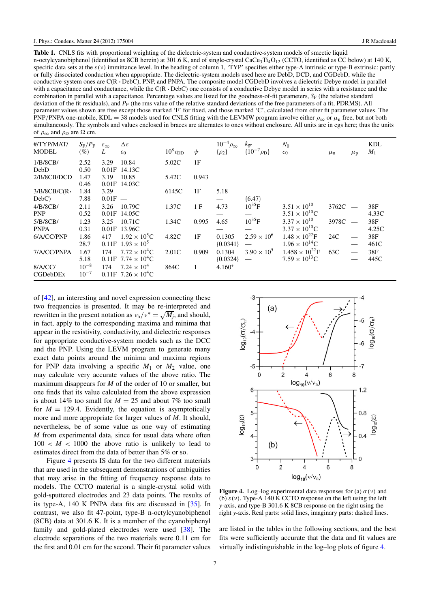<span id="page-7-2"></span>Table 1. CNLS fits with proportional weighting of the dielectric-system and conductive-system models of smectic liquid n-octylcyanobiphenol (identified as 8CB herein) at 301.6 K, and of single-crystal CaCu<sub>3</sub>Ti<sub>4</sub>O<sub>12</sub> (CCTO, identified as CC below) at 140 K, specific data sets at the  $\varepsilon(v)$  immittance level. In the heading of column 1, 'TYP' specifies either type-A intrinsic or type-B extrinsic: partly or fully dissociated conduction when appropriate. The dielectric-system models used here are DebD, DCD, and CGDebD, while the conductive-system ones are C(R · DebC), PNP, and PNPA. The composite model CGDebD involves a dielectric Debye model in parallel with a capacitance and conductance, while the C(R  $\cdot$  DebC) one consists of a conductive Debye model in series with a resistance and the combination in parallel with a capacitance. Percentage values are listed for the goodness-of-fit parameters, *S<sub>F</sub>* (the relative standard deviation of the fit residuals), and  $P_F$  (the rms value of the relative standard deviations of the free parameters of a fit, PDRMS). All parameter values shown are free except those marked 'F' for fixed, and those marked 'C', calculated from other fit parameter values. The PNP/PNPA one-mobile, KDL = 38 models used for CNLS fitting with the LEVMW program involve either  $\rho_{\infty}$  or  $\mu_{\rm n}$  free, but not both simultaneously. The symbols and values enclosed in braces are alternates to ones without enclosure. All units are in cgs here; thus the units of  $\rho_{\infty}$  and  $\rho_{\rm D}$  are  $\Omega$  cm.

| #/TYP/MAT/<br><b>MODEL</b> | $S_{\rm F}/P_{\rm F}$<br>$(\%)$ | $\varepsilon_{\infty}$<br>L | $\Delta \varepsilon$<br>$\varepsilon_0$ | $10^8 \tau_{\text{DD}}$ | $\psi$       | $10^{-4} \rho_{\infty}$<br>$\{\rho_2\}$ | $k_{\rm gr}$<br>$\{10^{-7} \rho_D\}$ | $N_0$<br>c <sub>0</sub>  | $\mu_{\rm n}$ | $\mu_{\rm p}$            | KDL<br>$M_1$ |
|----------------------------|---------------------------------|-----------------------------|-----------------------------------------|-------------------------|--------------|-----------------------------------------|--------------------------------------|--------------------------|---------------|--------------------------|--------------|
| 1/B/8CB/                   | 2.52                            | 3.29                        | 10.84                                   | 5.02C                   | 1F           |                                         |                                      |                          |               |                          |              |
| DebD                       | 0.50                            | 0.01F                       | 14.13C                                  |                         |              |                                         |                                      |                          |               |                          |              |
| 2/B/8CB/DCD                | 1.47                            | 3.19                        | 10.85                                   | 5.42C                   | 0.943        |                                         |                                      |                          |               |                          |              |
|                            | 0.46                            |                             | 0.01F 14.03C                            |                         |              |                                         |                                      |                          |               |                          |              |
| 3/B/8CB/C(R                | 1.84                            | $3.29 -$                    |                                         | 6145C                   | 1F           | 5.18                                    |                                      |                          |               |                          |              |
| $DebC$ )                   | 7.88                            | $0.01F -$                   |                                         |                         |              |                                         | ${6.47}$                             |                          |               |                          |              |
| 4/B/8CB/                   | 2.11                            | 3.26                        | 10.79C                                  | 1.37C                   | 1 F          | 4.73                                    | $10^{35}F$                           | $3.51 \times 10^{10}$    | 3762C         |                          | 38F          |
| <b>PNP</b>                 | 0.52                            |                             | $0.01F$ 14.05C                          |                         |              |                                         |                                      | $3.51 \times 10^{10}$ C  |               |                          | 4.33C        |
| 5/B/8CB/                   | 1.23                            | 3.25                        | 10.71C                                  | 1.34C                   | 0.995        | 4.65                                    | $10^{35}$ F                          | $3.37 \times 10^{10}$    | 3978C         |                          | 38F          |
| <b>PNPA</b>                | 0.31                            |                             | $0.01F$ 13.96C                          |                         |              |                                         |                                      | $3.37 \times 10^{10}$ C  |               |                          | 4.25C        |
| 6/A/CC/PNP                 | 1.86                            | 417                         | $1.92 \times 10^{5}$ C                  | 4.82C                   | 1F           | 0.1305                                  | $2.59 \times 10^{6}$                 | $1.48 \times 10^{22}$ F  | 24C           |                          | 38F          |
|                            | 28.7                            |                             | $0.11F$ 1.93 $\times$ 10 <sup>5</sup>   |                         |              | ${0.0341}$                              |                                      | $1.96 \times 10^{14}$ C  |               | $\overline{\phantom{m}}$ | 461C         |
| 7/A/CC/PNPA                | 1.67                            | 174                         | $7.72 \times 10^{4}$ C                  | 2.01C                   | 0.909        | 0.1304                                  | $3.90 \times 10^{5}$                 | $1.458 \times 10^{22}$ F | 63C           | $\overline{\phantom{0}}$ | 38F          |
|                            | 5.18                            |                             | $0.11F$ 7.74 $\times$ 10 <sup>4</sup> C |                         |              | ${0.0324}$                              | $\overline{\phantom{m}}$             | $7.59 \times 10^{13}$ C  |               |                          | 445C         |
| 8/A/CC/                    | $10^{-8}$                       | 174                         | $7.24 \times 10^4$                      | 864C                    | $\mathbf{1}$ | $4.160*$                                |                                      |                          |               |                          |              |
| <b>CGDebDEx</b>            | $10^{-7}$                       |                             | $0.11F$ 7.26 $\times$ 10 <sup>4</sup> C |                         |              |                                         |                                      |                          |               |                          |              |

of [\[42\]](#page-11-27), an interesting and novel expression connecting these two frequencies is presented. It may be re-interpreted and rewritten in the present notation as  $v_h/v^* = \sqrt{M_j}$ , and should, in fact, apply to the corresponding maxima and minima that appear in the resistivity, conductivity, and dielectric responses for appropriate conductive-system models such as the DCC and the PNP. Using the LEVM program to generate many exact data points around the minima and maxima regions for PNP data involving a specific  $M_1$  or  $M_2$  value, one may calculate very accurate values of the above ratio. The maximum disappears for *M* of the order of 10 or smaller, but one finds that its value calculated from the above expression is about 14% too small for  $M = 25$  and about 7% too small for  $M = 129.4$ . Evidently, the equation is asymptotically more and more appropriate for larger values of *M*. It should, nevertheless, be of some value as one way of estimating *M* from experimental data, since for usual data where often  $100 < M < 1000$  the above ratio is unlikely to lead to estimates direct from the data of better than 5% or so.

Figure [4](#page-7-1) presents IS data for the two different materials that are used in the subsequent demonstrations of ambiguities that may arise in the fitting of frequency response data to models. The CCTO material is a single-crystal solid with gold-sputtered electrodes and 23 data points. The results of its type-A, 140 K PNPA data fits are discussed in [\[35\]](#page-11-8). In contrast, we also fit 47-point, type-B n-octylcyanobiphenol (8CB) data at 301.6 K. It is a member of the cyanobiphenyl family and gold-plated electrodes were used [\[38\]](#page-11-21). The electrode separations of the two materials were 0.11 cm for the first and 0.01 cm for the second. Their fit parameter values

<span id="page-7-1"></span>

Figure 4. Log–log experimental data responses for (a)  $\sigma(v)$  and (b)  $\varepsilon(\nu)$ . Type-A 140 K CCTO response on the left using the left *y*-axis, and type-B 301.6 K 8CB response on the right using the right *y*-axis. Real parts: solid lines, imaginary parts: dashed lines.

<span id="page-7-0"></span>are listed in the tables in the following sections, and the best fits were sufficiently accurate that the data and fit values are virtually indistinguishable in the log–log plots of figure [4.](#page-7-1)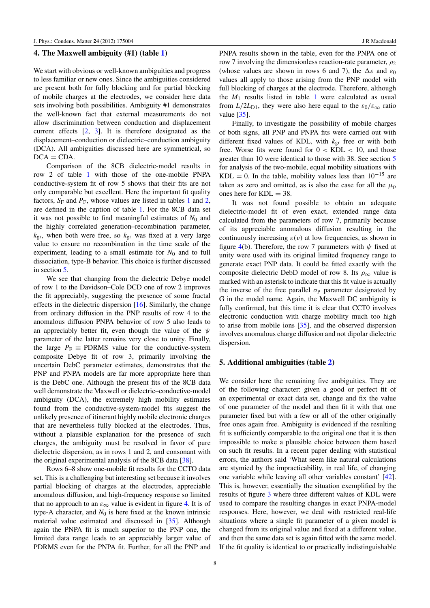#### 4. The Maxwell ambiguity (#1) (table [1\)](#page-7-2)

We start with obvious or well-known ambiguities and progress to less familiar or new ones. Since the ambiguities considered are present both for fully blocking and for partial blocking of mobile charges at the electrodes, we consider here data sets involving both possibilities. Ambiguity #1 demonstrates the well-known fact that external measurements do not allow discrimination between conduction and displacement current effects [\[2,](#page-11-1) [3\]](#page-11-2). It is therefore designated as the displacement–conduction or dielectric–conduction ambiguity (DCA). All ambiguities discussed here are symmetrical, so  $DCA = CDA$ .

Comparison of the 8CB dielectric-model results in row 2 of table [1](#page-7-2) with those of the one-mobile PNPA conductive-system fit of row 5 shows that their fits are not only comparable but excellent. Here the important fit quality factors,  $S_F$  and  $P_F$ , whose values are listed in tables [1](#page-7-2) and [2,](#page-9-0) are defined in the caption of table [1.](#page-7-2) For the 8CB data set it was not possible to find meaningful estimates of  $N_0$  and the highly correlated generation–recombination parameter,  $k_{\text{gr}}$ , when both were free, so  $k_{\text{gr}}$  was fixed at a very large value to ensure no recombination in the time scale of the experiment, leading to a small estimate for  $N_0$  and to full dissociation, type-B behavior. This choice is further discussed in section [5.](#page-8-0)

We see that changing from the dielectric Debye model of row 1 to the Davidson–Cole DCD one of row 2 improves the fit appreciably, suggesting the presence of some fractal effects in the dielectric dispersion [\[16\]](#page-11-15). Similarly, the change from ordinary diffusion in the PNP results of row 4 to the anomalous diffusion PNPA behavior of row 5 also leads to an appreciably better fit, even though the value of the  $\psi$ parameter of the latter remains very close to unity. Finally, the large  $P_F \equiv$  PDRMS value for the conductive-system composite Debye fit of row 3, primarily involving the uncertain DebC parameter estimates, demonstrates that the PNP and PNPA models are far more appropriate here than is the DebC one. Although the present fits of the 8CB data well demonstrate the Maxwell or dielectric–conductive-model ambiguity (DCA), the extremely high mobility estimates found from the conductive-system-model fits suggest the unlikely presence of itinerant highly mobile electronic charges that are nevertheless fully blocked at the electrodes. Thus, without a plausible explanation for the presence of such charges, the ambiguity must be resolved in favor of pure dielectric dispersion, as in rows 1 and 2, and consonant with the original experimental analysis of the 8CB data [\[38\]](#page-11-21).

Rows 6–8 show one-mobile fit results for the CCTO data set. This is a challenging but interesting set because it involves partial blocking of charges at the electrodes, appreciable anomalous diffusion, and high-frequency response so limited that no approach to an  $\varepsilon_{\infty}$  value is evident in figure [4.](#page-7-1) It is of type-A character, and  $N_0$  is here fixed at the known intrinsic material value estimated and discussed in [\[35\]](#page-11-8). Although again the PNPA fit is much superior to the PNP one, the limited data range leads to an appreciably larger value of PDRMS even for the PNPA fit. Further, for all the PNP and

PNPA results shown in the table, even for the PNPA one of row 7 involving the dimensionless reaction-rate parameter,  $\rho_2$ (whose values are shown in rows 6 and 7), the  $\Delta \varepsilon$  and  $\varepsilon_0$ values all apply to those arising from the PNP model with full blocking of charges at the electrode. Therefore, although the  $M_1$  $M_1$  results listed in table 1 were calculated as usual from  $L/2L_{D1}$ , they were also here equal to the  $\varepsilon_0/\varepsilon_{\infty}$  ratio value [\[35\]](#page-11-8).

Finally, to investigate the possibility of mobile charges of both signs, all PNP and PNPA fits were carried out with different fixed values of KDL, with *k*gr free or with both free. Worse fits were found for  $0 < KDL < 10$ , and those greater than 10 were identical to those with 38. See section [5](#page-8-0) for analysis of the two-mobile, equal mobility situations with KDL = 0. In the table, mobility values less than  $10^{-15}$  are taken as zero and omitted, as is also the case for all the  $\mu_{p}$ ones here for  $KDL = 38$ .

It was not found possible to obtain an adequate dielectric-model fit of even exact, extended range data calculated from the parameters of row 7, primarily because of its appreciable anomalous diffusion resulting in the continuously increasing  $\varepsilon(\nu)$  at low frequencies, as shown in figure [4\(](#page-7-1)b). Therefore, the row 7 parameters with  $\psi$  fixed at unity were used with its original limited frequency range to generate exact PNP data. It could be fitted exactly with the composite dielectric DebD model of row 8. Its  $\rho_{\infty}$  value is marked with an asterisk to indicate that this fit value is actually the inverse of the free parallel  $\sigma_{\rm P}$  parameter designated by G in the model name. Again, the Maxwell DC ambiguity is fully confirmed, but this time it is clear that CCT0 involves electronic conduction with charge mobility much too high to arise from mobile ions [\[35\]](#page-11-8), and the observed dispersion involves anomalous charge diffusion and not dipolar dielectric dispersion.

#### <span id="page-8-0"></span>5. Additional ambiguities (table [2\)](#page-9-0)

We consider here the remaining five ambiguities. They are of the following character: given a good or perfect fit of an experimental or exact data set, change and fix the value of one parameter of the model and then fit it with that one parameter fixed but with a few or all of the other originally free ones again free. Ambiguity is evidenced if the resulting fit is sufficiently comparable to the original one that it is then impossible to make a plausible choice between them based on such fit results. In a recent paper dealing with statistical errors, the authors said 'What seem like natural calculations are stymied by the impracticability, in real life, of changing one variable while leaving all other variables constant' [\[42\]](#page-11-27). This is, however, essentially the situation exemplified by the results of figure [3](#page-6-2) where three different values of KDL were used to compare the resulting changes in exact PNPA-model responses. Here, however, we deal with restricted real-life situations where a single fit parameter of a given model is changed from its original value and fixed at a different value, and then the same data set is again fitted with the same model. If the fit quality is identical to or practically indistinguishable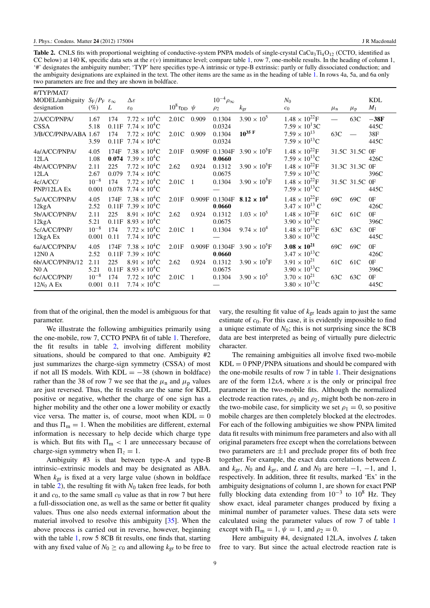<span id="page-9-0"></span>Table 2. CNLS fits with proportional weighting of conductive-system PNPA models of single-crystal CaCu<sub>3</sub>Ti<sub>4</sub>O<sub>12</sub> (CCTO, identified as CC below) at 140 K, specific data sets at the  $\varepsilon(\nu)$  immittance level; compare table [1,](#page-7-2) row 7, one-mobile results. In the heading of column 1, '#' designates the ambiguity number; 'TYP' here specifies type-A intrinsic or type-B extrinsic: partly or fully dissociated conduction; and the ambiguity designations are explained in the text. The other items are the same as in the heading of table [1.](#page-7-2) In rows 4a, 5a, and 6a only two parameters are free and they are shown in boldface.

| #/TYP/MAT/<br>MODEL/ambiguity $S_F/P_F \varepsilon_{\infty}$<br>designation        | (%)                                                | L                                            | Δε<br>$\varepsilon_0$                                                                                                                                       | $10^8 \tau_{DD}$ $\psi$ |                                   | $10^{-4} \rho_{\infty}$<br>$\rho_2$             | $k_{\rm gr}$                                                             | $N_0$<br>c <sub>0</sub>                                                                                                                                        | $\mu_{\rm n}$     | $\mu_{\rm p}$                                      | <b>KDL</b><br>$M_1$                    |
|------------------------------------------------------------------------------------|----------------------------------------------------|----------------------------------------------|-------------------------------------------------------------------------------------------------------------------------------------------------------------|-------------------------|-----------------------------------|-------------------------------------------------|--------------------------------------------------------------------------|----------------------------------------------------------------------------------------------------------------------------------------------------------------|-------------------|----------------------------------------------------|----------------------------------------|
| 2/A/CC/PNPA/<br><b>CSSA</b><br>3/B/CC/PNPA/ABA 1.67                                | 1.67<br>5.18<br>3.59                               | 174<br>0.11F<br>174<br>0.11F                 | $7.72 \times 10^{4}$ C<br>$7.74 \times 10^{4}$ C<br>$7.72 \times 10^{4}$ C<br>$7.74 \times 10^{4}$ C                                                        | 2.01C<br>2.01C          | 0.909<br>0.909                    | 0.1304<br>0.0324<br>0.1304<br>0.0324            | $3.90 \times 10^{5}$<br>$10^{35}$ F                                      | $1.48 \times 10^{22}$ F<br>$7.59 \times 10^{1}$ 3C<br>$7.59 \times 10^{13}$<br>$7.59 \times 10^{13}$ C                                                         | 63C               | 63C                                                | $-38F$<br>445C<br>38F<br>445C          |
| 4a/A/CC/PNPA/<br>12LA<br>4b/A/CC/PNPA/<br>12LA<br>4c/A/CC/<br>PNP/12LA Ex          | 4.05<br>1.08<br>2.11<br>2.67<br>$10^{-8}$<br>0.001 | 174F<br>0.074<br>225<br>0.079<br>174         | $7.38 \times 10^{4}C$<br>$7.39 \times 10^{4}$ C<br>$7.72 \times 10^{4}$ C<br>$7.74 \times 10^{4}$ C<br>$7.72 \times 10^{4}$ C<br>0.078 $7.74 \times 10^4$ C | 2.01F<br>2.62<br>2.01C  | 0.909F<br>0.924<br>$\overline{1}$ | 0.1304F<br>0.0660<br>0.1312<br>0.0675<br>0.1304 | $3.90 \times 10^5$ F<br>$3.90 \times 10^{5}$ F<br>$3.90 \times 10^{5}$ F | $1.48 \times 10^{22}$ F<br>$7.59 \times 10^{13}$ C<br>$1.48 \times 10^{22}$ F<br>$7.59 \times 10^{13}$ C<br>$1.48 \times 10^{22}$ F<br>$7.59 \times 10^{13}$ C |                   | 31.5C 31.5C 0F<br>31.3C 31.3C OF<br>31.5C 31.5C OF | 426C<br>396C<br>445C                   |
| 5a/A/CC/PNPA/<br>12kgA<br>5b/A/CC/PNPA/<br>12kgA<br>5c/A/CC/PNP/<br>12kgA Ex       | 4.05<br>2.52<br>2.11<br>5.21<br>$10^{-8}$<br>0.001 | 174F<br>0.11F<br>225<br>0.11F<br>174<br>0.11 | $7.38 \times 10^{4}C$<br>$7.39 \times 10^{4}$ C<br>$8.91 \times 10^{4}$ C<br>$8.93 \times 10^{4}$ C<br>$7.72 \times 10^{4}C$<br>$7.74 \times 10^{4}$ C      | 2.01F<br>2.62<br>2.01C  | 0.909F<br>0.924<br>$\overline{1}$ | 0.1304F<br>0.0660<br>0.1312<br>0.0675<br>0.1304 | $8.12 \times 10^{4}$<br>$1.03 \times 10^{5}$<br>$9.74 \times 10^{4}$     | $1.48 \times 10^{22}$ F<br>$3.47 \times 10^{13}$ C<br>$1.48 \times 10^{22}$ F<br>$3.90 \times 10^{13}$ C<br>$1.48 \times 10^{22}$ F<br>$3.80 \times 10^{13}$ C | 69C<br>61C<br>63C | 69C<br>61C<br>63C                                  | 0F<br>426C<br>0F<br>396C<br>0F<br>445C |
| 6a/A/CC/PNPA/<br>12N0 A<br>6b/A/CC/PNPA/12<br>NO A<br>6c/A/CC/PNP/<br>$12N_0$ A Ex | 4.05<br>2.52<br>2.11<br>5.21<br>$10^{-8}$<br>0.001 | 174F<br>0.11F<br>225<br>0.11F<br>174<br>0.11 | $7.38 \times 10^{4}C$<br>$7.39 \times 10^{4}$ C<br>$8.91 \times 10^{4}$ C<br>$8.93 \times 10^{4}C$<br>$7.72 \times 10^{4}C$<br>$7.74 \times 10^{4}$ C       | 2.01F<br>2.62<br>2.01C  | 0.909F<br>0.924<br>$\overline{1}$ | 0.1304F<br>0.0660<br>0.1312<br>0.0675<br>0.1304 | $3.90 \times 10^{5}$ F<br>$3.90 \times 10^5$ F<br>$3.90 \times 10^{5}$   | $3.08 \times 10^{21}$<br>$3.47 \times 10^{13}$ C<br>$3.91 \times 10^{21}$<br>$3.90 \times 10^{13}$ C<br>$3.70 \times 10^{21}$<br>$3.80 \times 10^{13}$ C       | 69C<br>61C<br>63C | 69C<br>61C<br>63C                                  | 0F<br>426C<br>0F<br>396C<br>0F<br>445C |

from that of the original, then the model is ambiguous for that parameter.

We illustrate the following ambiguities primarily using the one-mobile, row 7, CCTO PNPA fit of table [1.](#page-7-2) Therefore, the fit results in table [2,](#page-9-0) involving different mobility situations, should be compared to that one. Ambiguity #2 just summarizes the charge-sign symmetry (CSSA) of most if not all IS models. With  $KDL = -38$  (shown in boldface) rather than the 38 of row 7 we see that the  $\mu$ <sub>n</sub> and  $\mu$ <sub>p</sub> values are just reversed. Thus, the fit results are the same for KDL positive or negative, whether the charge of one sign has a higher mobility and the other one a lower mobility or exactly vice versa. The matter is, of course, moot when  $KDL = 0$ and thus  $\Pi_m = 1$ . When the mobilities are different, external information is necessary to help decide which charge type is which. But fits with  $\Pi_m < 1$  are unnecessary because of charge-sign symmetry when  $\Pi_z = 1$ .

Ambiguity #3 is that between type-A and type-B intrinsic–extrinsic models and may be designated as ABA. When *k*gr is fixed at a very large value (shown in boldface in table [2\)](#page-9-0), the resulting fit with  $N_0$  taken free leads, for both it and  $c_0$ , to the same small  $c_0$  value as that in row 7 but here a full-dissociation one, as well as the same or better fit quality values. Thus one also needs external information about the material involved to resolve this ambiguity [\[35\]](#page-11-8). When the above process is carried out in reverse, however, beginning with the table [1,](#page-7-2) row 5 8CB fit results, one finds that, starting with any fixed value of  $N_0 \ge c_0$  and allowing  $k_{\text{gr}}$  to be free to

vary, the resulting fit value of  $k_{\text{gr}}$  leads again to just the same estimate of *c*0. For this case, it is evidently impossible to find a unique estimate of  $N_0$ ; this is not surprising since the 8CB data are best interpreted as being of virtually pure dielectric character.

The remaining ambiguities all involve fixed two-mobile  $KDL = 0$  PNP/PNPA situations and should be compared with the one-mobile results of row 7 in table [1.](#page-7-2) Their designations are of the form 12*xA*, where *x* is the only or principal free parameter in the two-mobile fits. Although the normalized electrode reaction rates,  $\rho_1$  and  $\rho_2$ , might both be non-zero in the two-mobile case, for simplicity we set  $\rho_1 = 0$ , so positive mobile charges are then completely blocked at the electrodes. For each of the following ambiguities we show PNPA limited data fit results with minimum free parameters and also with all original parameters free except when the correlations between two parameters are  $\pm 1$  and preclude proper fits of both free together. For example, the exact data correlations between *L* and  $k_{\text{gr}}, N_0$  and  $k_{\text{gr}},$  and *L* and  $N_0$  are here  $-1, -1,$  and 1, respectively. In addition, three fit results, marked 'Ex' in the ambiguity designations of column 1, are shown for exact PNP fully blocking data extending from 10−<sup>3</sup> to 10<sup>8</sup> Hz. They show exact, ideal parameter changes produced by fixing a minimal number of parameter values. These data sets were calculated using the parameter values of row 7 of table [1](#page-7-2) except with  $\Pi_{\rm m} = 1$ ,  $\psi = 1$ , and  $\rho_2 = 0$ .

Here ambiguity #4, designated 12LA, involves *L* taken free to vary. But since the actual electrode reaction rate is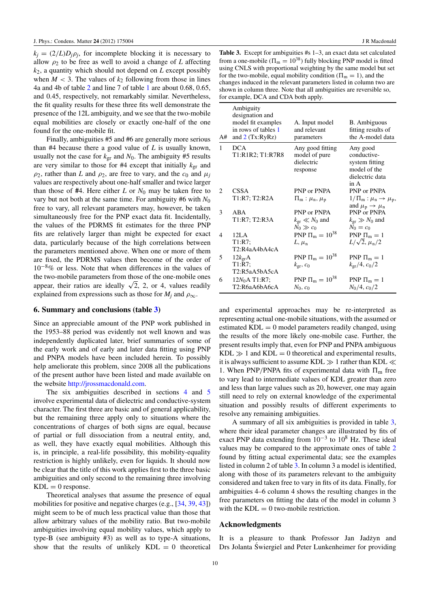$k_j = (2/L)D_j \rho_j$ , for incomplete blocking it is necessary to allow  $\rho_2$  to be free as well to avoid a change of *L* affecting *k*2, a quantity which should not depend on *L* except possibly when  $M < 3$ . The values of  $k_2$  following from those in lines 4a and 4b of table [2](#page-9-0) and line 7 of table [1](#page-7-2) are about 0.68, 0.65, and 0.45, respectively, not remarkably similar. Nevertheless, the fit quality results for these three fits well demonstrate the presence of the 12L ambiguity, and we see that the two-mobile equal mobilities are closely or exactly one-half of the one found for the one-mobile fit.

Finally, ambiguities #5 and #6 are generally more serious than #4 because there a good value of *L* is usually known, usually not the case for  $k_{\text{gr}}$  and  $N_0$ . The ambiguity #5 results are very similar to those for  $#4$  except that initially  $k_{gr}$  and  $\rho_2$ , rather than *L* and  $\rho_2$ , are free to vary, and the  $c_0$  and  $\mu_i$ values are respectively about one-half smaller and twice larger than those of  $#4$ . Here either *L* or  $N_0$  may be taken free to vary but not both at the same time. For ambiguity  $#6$  with  $N_0$ free to vary, all relevant parameters may, however, be taken simultaneously free for the PNP exact data fit. Incidentally, the values of the PDRMS fit estimates for the three PNP fits are relatively larger than might be expected for exact data, particularly because of the high correlations between the parameters mentioned above. When one or more of them are fixed, the PDRMS values then become of the order of  $10^{-8}\%$  or less. Note that when differences in the values of the two-mobile parameters from those of the one-mobile ones the two-mobile parameters from those of the one-mobile ones appear, their ratios are ideally  $\sqrt{2}$ , 2, or 4, values readily explained from expressions such as those for  $M_j$  and  $\rho_{\infty}$ .

#### 6. Summary and conclusions (table [3\)](#page-10-0)

Since an appreciable amount of the PNP work published in the 1953–88 period was evidently not well known and was independently duplicated later, brief summaries of some of the early work and of early and later data fitting using PNP and PNPA models have been included herein. To possibly help ameliorate this problem, since 2008 all the publications of the present author have been listed and made available on the website [http://jrossmacdonald.com.](http://jrossmacdonald.com)

The six ambiguities described in sections [4](#page-7-0) and [5](#page-8-0) involve experimental data of dielectric and conductive-system character. The first three are basic and of general applicability, but the remaining three apply only to situations where the concentrations of charges of both signs are equal, because of partial or full dissociation from a neutral entity, and, as well, they have exactly equal mobilities. Although this is, in principle, a real-life possibility, this mobility-equality restriction is highly unlikely, even for liquids. It should now be clear that the title of this work applies first to the three basic ambiguities and only second to the remaining three involving  $KDL = 0$  response.

Theoretical analyses that assume the presence of equal mobilities for positive and negative charges (e.g., [\[34,](#page-11-12) [39,](#page-11-22) [43\]](#page-11-28)) might seem to be of much less practical value than those that allow arbitrary values of the mobility ratio. But two-mobile ambiguities involving equal mobility values, which apply to type-B (see ambiguity #3) as well as to type-A situations, show that the results of unlikely  $KDL = 0$  theoretical

<span id="page-10-0"></span>Table 3. Except for ambiguities #s 1–3, an exact data set calculated from a one-mobile ( $\Pi_m = 10^{38}$ ) fully blocking PNP model is fitted using CNLS with proportional weighting by the same model but set for the two-mobile, equal mobility condition ( $\Pi_m = 1$ ), and the changes induced in the relevant parameters listed in column two are shown in column three. Note that all ambiguities are reversible so, for example, DCA and CDA both apply.

| A#             | Ambiguity<br>designation and<br>model fit examples<br>in rows of tables 1<br>and $2$ (Tx:RyRz) | A. Input model<br>and relevant<br>parameters                | B. Ambiguous<br>fitting results of<br>the A-model data                                  |
|----------------|------------------------------------------------------------------------------------------------|-------------------------------------------------------------|-----------------------------------------------------------------------------------------|
| $\mathbf{1}$   | <b>DCA</b><br>T1:R1R2; T1:R7R8                                                                 | Any good fitting<br>model of pure<br>dielectric<br>response | Any good<br>conductive-<br>system fitting<br>model of the<br>dielectric data<br>in A    |
| $\overline{c}$ | CSSA<br>T1:R7; T2:R2A                                                                          | PNP or PNPA<br>$\Pi_{m}$ : $\mu_{n}, \mu_{p}$               | PNP or PNPA<br>$1/\Pi_m: \mu_n \to \mu_p,$<br>and $\mu_{\rm p} \rightarrow \mu_{\rm n}$ |
| 3              | ABA<br>T1:R7; T2:R3A                                                                           | PNP or PNPA<br>$k_{\rm gr} \ll N_0$ and<br>$N_0 \gg c_0$    | PNP or PNPA<br>$k_{\rm gr} \gg N_0$ and<br>$N_0 = c_0$                                  |
| 4              | 12 <sub>L</sub> A<br>T1:R7:<br>T2:R4aA4bA4cA                                                   | PNP $\Pi_{\rm m} = 10^{38}$<br>$L, \mu_n$                   | PNP $\Pi_m = 1$<br>$L/\sqrt{2}$ , $\mu_{\rm n}/2$                                       |
| 5              | $12k_{\rm gr}A$<br>T1:R7<br>T2:R5aA5bA5cA                                                      | PNP $\Pi_{\rm m} = 10^{38}$<br>$k_{\rm gr}, c_0$            | PNP $\Pi_m = 1$<br>$k_{\rm gr} / 4$ , $c_0 / 2$                                         |
| 6              | $12N_0A$ T1:R7;<br>T2:R6aA6bA6cA                                                               | PNP $\Pi_{\rm m} = 10^{38}$<br>$N_0$ , $c_0$                | PNP $\Pi_m = 1$<br>$N_0/4, c_0/2$                                                       |

and experimental approaches may be re-interpreted as representing actual one-mobile situations, with the assumed or estimated  $KDL = 0$  model parameters readily changed, using the results of the more likely one-mobile case. Further, the present results imply that, even for PNP and PNPA ambiguous  $KDL \gg 1$  and  $KDL = 0$  theoretical and experimental results, it is always sufficient to assume KDL  $\gg$  1 rather than KDL  $\ll$ 1. When PNP/PNPA fits of experimental data with  $\Pi_{\rm m}$  free to vary lead to intermediate values of KDL greater than zero and less than large values such as 20, however, one may again still need to rely on external knowledge of the experimental situation and possibly results of different experiments to resolve any remaining ambiguities.

A summary of all six ambiguities is provided in table [3,](#page-10-0) where their ideal parameter changes are illustrated by fits of exact PNP data extending from 10<sup>-3</sup> to 10<sup>8</sup> Hz. These ideal values may be compared to the approximate ones of table [2](#page-9-0) found by fitting actual experimental data; see the examples listed in column 2 of table [3.](#page-10-0) In column 3 a model is identified, along with those of its parameters relevant to the ambiguity considered and taken free to vary in fits of its data. Finally, for ambiguities 4–6 column 4 shows the resulting changes in the free parameters on fitting the data of the model in column 3 with the  $KDL = 0$  two-mobile restriction.

## Acknowledgments

It is a pleasure to thank Professor Jan Jadzyn and Drs Jolanta Swiergiel and Peter Lunkenheimer for providing ´